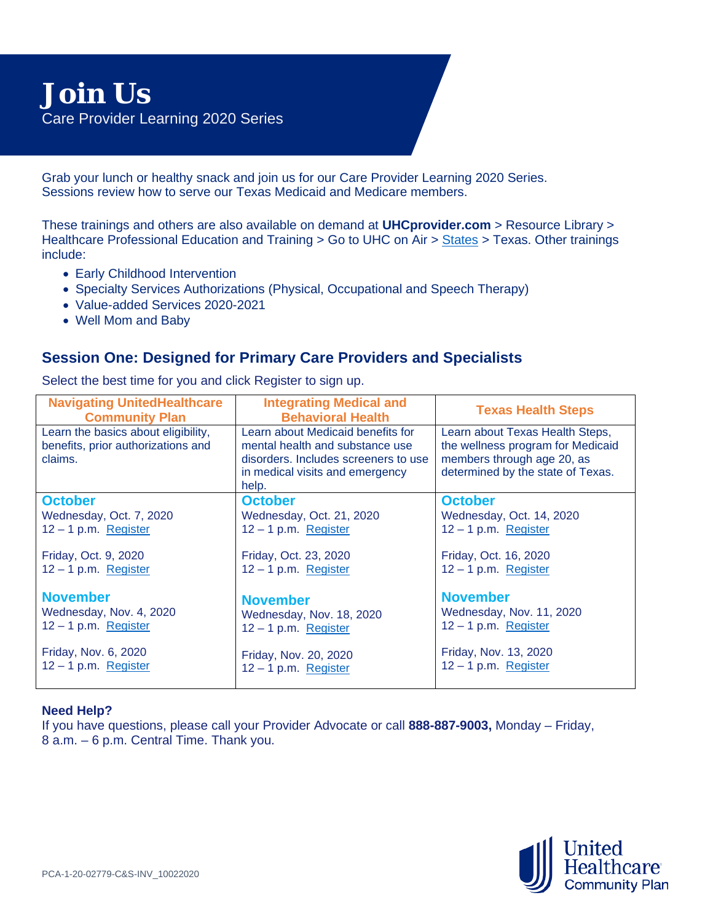Grab your lunch or healthy snack and join us for our Care Provider Learning 2020 Series. Sessions review how to serve our Texas Medicaid and Medicare members.

These trainings and others are also available on demand at **UHCprovider.com** > Resource Library > Healthcare Professional Education and Training > Go to UHC on Air > [States](https://cx.uhc.com/content/uhc-provider/uhconair/en/states.html) > Texas. Other trainings include:

- Early Childhood Intervention
- Specialty Services Authorizations (Physical, Occupational and Speech Therapy)
- Value-added Services 2020-2021
- Well Mom and Baby

## **Session One: Designed for Primary Care Providers and Specialists**

| <b>Navigating UnitedHealthcare</b><br><b>Community Plan</b>                          | <b>Integrating Medical and</b><br><b>Behavioral Health</b>                                                                                               | <b>Texas Health Steps</b>                                                                                                               |
|--------------------------------------------------------------------------------------|----------------------------------------------------------------------------------------------------------------------------------------------------------|-----------------------------------------------------------------------------------------------------------------------------------------|
| Learn the basics about eligibility,<br>benefits, prior authorizations and<br>claims. | Learn about Medicaid benefits for<br>mental health and substance use<br>disorders. Includes screeners to use<br>in medical visits and emergency<br>help. | Learn about Texas Health Steps,<br>the wellness program for Medicaid<br>members through age 20, as<br>determined by the state of Texas. |
| <b>October</b>                                                                       | <b>October</b>                                                                                                                                           | <b>October</b>                                                                                                                          |
| Wednesday, Oct. 7, 2020                                                              | Wednesday, Oct. 21, 2020                                                                                                                                 | Wednesday, Oct. 14, 2020                                                                                                                |
| $12 - 1$ p.m. Register                                                               | $12 - 1$ p.m. Register                                                                                                                                   | $12 - 1$ p.m. Register                                                                                                                  |
| Friday, Oct. 9, 2020                                                                 | Friday, Oct. 23, 2020                                                                                                                                    | Friday, Oct. 16, 2020                                                                                                                   |
| $12 - 1$ p.m. Register                                                               | $12 - 1$ p.m. Register                                                                                                                                   | $12 - 1$ p.m. Register                                                                                                                  |
| <b>November</b>                                                                      | <b>November</b>                                                                                                                                          | <b>November</b>                                                                                                                         |
| Wednesday, Nov. 4, 2020                                                              | Wednesday, Nov. 18, 2020                                                                                                                                 | Wednesday, Nov. 11, 2020                                                                                                                |
| $12 - 1$ p.m. Register                                                               | $12 - 1$ p.m. Register                                                                                                                                   | $12 - 1$ p.m. Register                                                                                                                  |
| Friday, Nov. 6, 2020                                                                 | Friday, Nov. 20, 2020                                                                                                                                    | Friday, Nov. 13, 2020                                                                                                                   |
| $12 - 1$ p.m. Register                                                               | $12 - 1$ p.m. Register                                                                                                                                   | $12 - 1$ p.m. Register                                                                                                                  |

Select the best time for you and click Register to sign up.

## **Need Help?**

If you have questions, please call your Provider Advocate or call **888-887-9003,** Monday – Friday, 8 a.m. – 6 p.m. Central Time. Thank you.